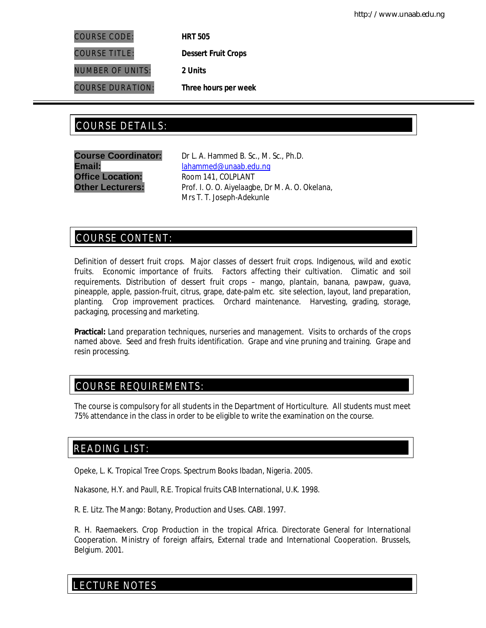COURSE CODE: **HRT 505**

COURSE TITLE: **Dessert Fruit Crops**

NUMBER OF UNITS: **2 Units**

COURSE DURATION: **Three hours per week**

# COURSE DETAILS: COURSE DETAILS:

**Office Location:** Room 141, COLPLANT

**Course Coordinator:** Dr L. A. Hammed B. Sc., M. Sc., Ph.D. Email: lahammed@unaab.edu.ng **Other Lecturers:** Prof. I. O. O. Aiyelaagbe, Dr M. A. O. Okelana, Mrs T. T. Joseph-Adekunle

# COURSE CONTENT:

Definition of dessert fruit crops. Major classes of dessert fruit crops. Indigenous, wild and exotic fruits. Economic importance of fruits. Factors affecting their cultivation. Climatic and soil requirements. Distribution of dessert fruit crops – mango, plantain, banana, pawpaw, guava, pineapple, apple, passion-fruit, citrus, grape, date-palm etc. site selection, layout, land preparation, planting. Crop improvement practices. Orchard maintenance. Harvesting, grading, storage, packaging, processing and marketing.

**Practical:** Land preparation techniques, nurseries and management. Visits to orchards of the crops named above. Seed and fresh fruits identification. Grape and vine pruning and training. Grape and resin processing.

# COURSE REQUIREMENTS:

The course is compulsory for all students in the Department of Horticulture. All students must meet 75% attendance in the class in order to be eligible to write the examination on the course.

# READING LIST:

Opeke, L. K. Tropical Tree Crops. Spectrum Books Ibadan, Nigeria. 2005.

Nakasone, H.Y. and Paull, R.E. Tropical fruits CAB International, U.K. 1998.

R. E. Litz. The Mango: Botany, Production and Uses. CABI. 1997.

R. H. Raemaekers. Crop Production in the tropical Africa. Directorate General for International Cooperation. Ministry of foreign affairs, External trade and International Cooperation. Brussels, Belgium. 2001.

E LECTURE NOTES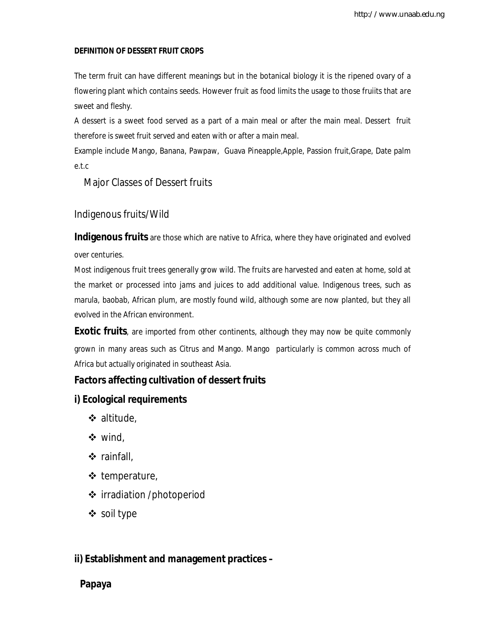## **DEFINITION OF DESSERT FRUIT CROPS**

The term fruit can have different meanings but in the botanical biology it is the ripened ovary of a flowering plant which contains seeds. However fruit as food limits the usage to those fruiits that are sweet and fleshy.

A dessert is a sweet food served as a part of a main meal or after the main meal. Dessert fruit therefore is sweet fruit served and eaten with or after a main meal.

Example include Mango, Banana, Pawpaw, Guava Pineapple,Apple, Passion fruit,Grape, Date palm e.t.c

Major Classes of Dessert fruits

## Indigenous fruits/Wild

**Indigenous fruits** are those which are native to Africa, where they have originated and evolved over centuries.

Most indigenous fruit trees generally grow wild. The fruits are harvested and eaten at home, sold at the market or processed into jams and juices to add additional value. Indigenous trees, such as marula, baobab, African plum, are mostly found wild, although some are now planted, but they all evolved in the African environment.

**Exotic fruits**, are imported from other continents, although they may now be quite commonly grown in many areas such as Citrus and Mango. Mango particularly is common across much of Africa but actually originated in southeast Asia.

## **Factors affecting cultivation of dessert fruits**

## **i) Ecological requirements**

- altitude,
- wind,
- $\div$  rainfall,
- $\triangleleft$  temperature,
- ❖ irradiation /photoperiod
- soil type

## **ii) Establishment and management practices –**

## **Papaya**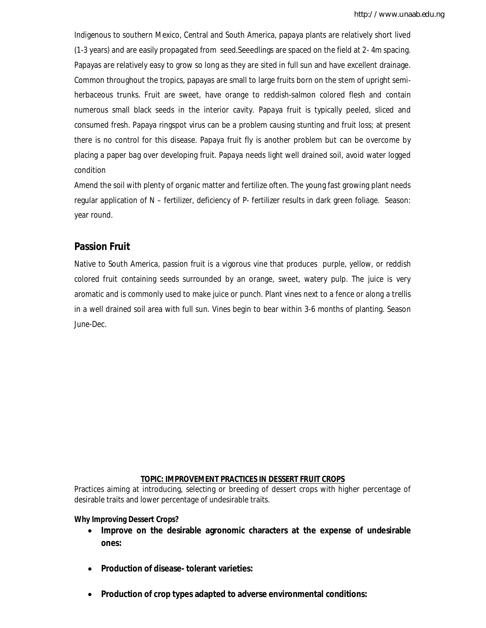Indigenous to southern Mexico, Central and South America, papaya plants are relatively short lived (1-3 years) and are easily propagated from seed.Seeedlings are spaced on the field at 2- 4m spacing. Papayas are relatively easy to grow so long as they are sited in full sun and have excellent drainage. Common throughout the tropics, papayas are small to large fruits born on the stem of upright semiherbaceous trunks. Fruit are sweet, have orange to reddish-salmon colored flesh and contain numerous small black seeds in the interior cavity. Papaya fruit is typically peeled, sliced and consumed fresh. Papaya ringspot virus can be a problem causing stunting and fruit loss; at present there is no control for this disease. Papaya fruit fly is another problem but can be overcome by placing a paper bag over developing fruit. Papaya needs light well drained soil, avoid water logged condition

Amend the soil with plenty of organic matter and fertilize often. The young fast growing plant needs regular application of N – fertilizer, deficiency of P- fertilizer results in dark green foliage. Season: year round.

## **Passion Fruit**

Native to South America, passion fruit is a vigorous vine that produces purple, yellow, or reddish colored fruit containing seeds surrounded by an orange, sweet, watery pulp. The juice is very aromatic and is commonly used to make juice or punch. Plant vines next to a fence or along a trellis in a well drained soil area with full sun. Vines begin to bear within 3-6 months of planting. Season June-Dec.

## **TOPIC: IMPROVEMENT PRACTICES IN DESSERT FRUIT CROPS**

Practices aiming at introducing, selecting or breeding of dessert crops with higher percentage of desirable traits and lower percentage of undesirable traits.

#### **Why Improving Dessert Crops?**

- **Improve on the desirable agronomic characters at the expense of undesirable ones:**
- **Production of disease- tolerant varieties:**
- **Production of crop types adapted to adverse environmental conditions:**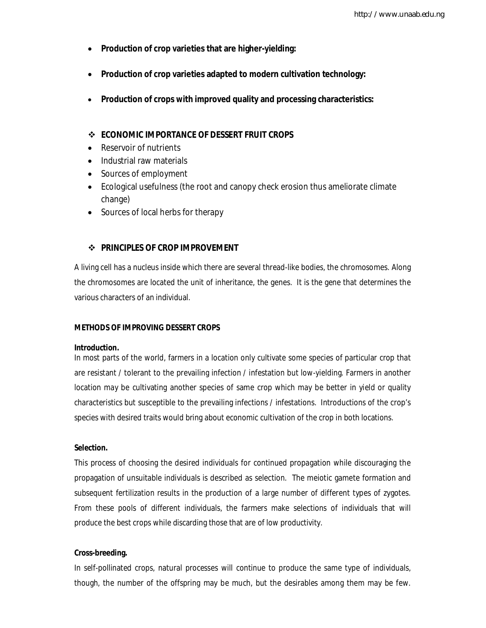- **Production of crop varieties that are higher-yielding:**
- **Production of crop varieties adapted to modern cultivation technology:**
- **Production of crops with improved quality and processing characteristics:**

## **ECONOMIC IMPORTANCE OF DESSERT FRUIT CROPS**

- Reservoir of nutrients
- Industrial raw materials
- Sources of employment
- Ecological usefulness (the root and canopy check erosion thus ameliorate climate change)
- Sources of local herbs for therapy

## $\div$  **PRINCIPLES OF CROP IMPROVEMENT**

A living cell has a nucleus inside which there are several thread-like bodies, the chromosomes. Along the chromosomes are located the unit of inheritance, the genes. It is the gene that determines the various characters of an individual.

#### **METHODS OF IMPROVING DESSERT CROPS**

#### **Introduction.**

In most parts of the world, farmers in a location only cultivate some species of particular crop that are resistant / tolerant to the prevailing infection / infestation but low-yielding. Farmers in another location may be cultivating another species of same crop which may be better in yield or quality characteristics but susceptible to the prevailing infections / infestations. Introductions of the crop's species with desired traits would bring about economic cultivation of the crop in both locations.

#### **Selection.**

This process of choosing the desired individuals for continued propagation while discouraging the propagation of unsuitable individuals is described as selection. The meiotic gamete formation and subsequent fertilization results in the production of a large number of different types of zygotes. From these pools of different individuals, the farmers make selections of individuals that will produce the best crops while discarding those that are of low productivity.

### **Cross-breeding.**

In self-pollinated crops, natural processes will continue to produce the same type of individuals, though, the number of the offspring may be much, but the desirables among them may be few.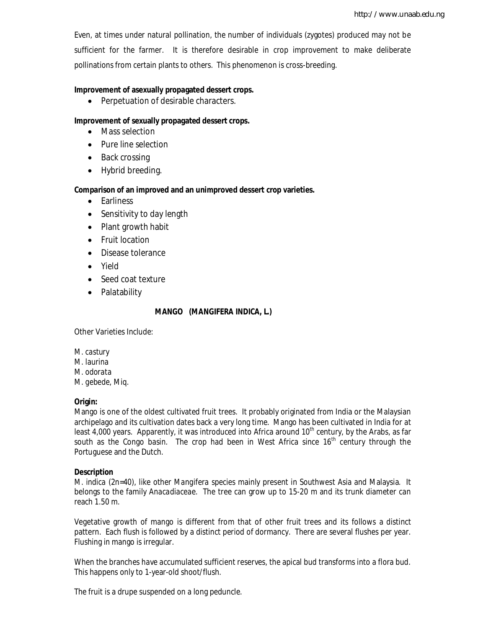Even, at times under natural pollination, the number of individuals (zygotes) produced may not be sufficient for the farmer. It is therefore desirable in crop improvement to make deliberate pollinations from certain plants to others. This phenomenon is cross-breeding.

## **Improvement of asexually propagated dessert crops.**

• Perpetuation of desirable characters.

## **Improvement of sexually propagated dessert crops.**

- Mass selection
- Pure line selection
- Back crossing
- Hybrid breeding.

#### **Comparison of an improved and an unimproved dessert crop varieties.**

- Earliness
- Sensitivity to day length
- Plant growth habit
- Fruit location
- Disease tolerance
- Yield
- Seed coat texture
- Palatability

#### **MANGO (***MANGIFERA INDICA***, L.)**

Other Varieties Include:

*M. castury M. laurina M. odorata M. gebede,* Miq.

#### **Origin:**

Mango is one of the oldest cultivated fruit trees. It probably originated from India or the Malaysian archipelago and its cultivation dates back a very long time. Mango has been cultivated in India for at least 4,000 years. Apparently, it was introduced into Africa around 10<sup>th</sup> century, by the Arabs, as far south as the Congo basin. The crop had been in West Africa since  $16<sup>th</sup>$  century through the Portuguese and the Dutch.

#### **Description**

*M. indica* (2n=40), like other *Mangifera species* mainly present in Southwest Asia and Malaysia. It belongs to the family *Anacadiaceae.* The tree can grow up to 15-20 m and its trunk diameter can reach 1.50 m.

Vegetative growth of mango is different from that of other fruit trees and its follows a distinct pattern. Each flush is followed by a distinct period of dormancy. There are several flushes per year. Flushing in mango is irregular.

When the branches have accumulated sufficient reserves, the apical bud transforms into a flora bud. This happens only to 1-year-old shoot/flush.

The fruit is a drupe suspended on a long peduncle.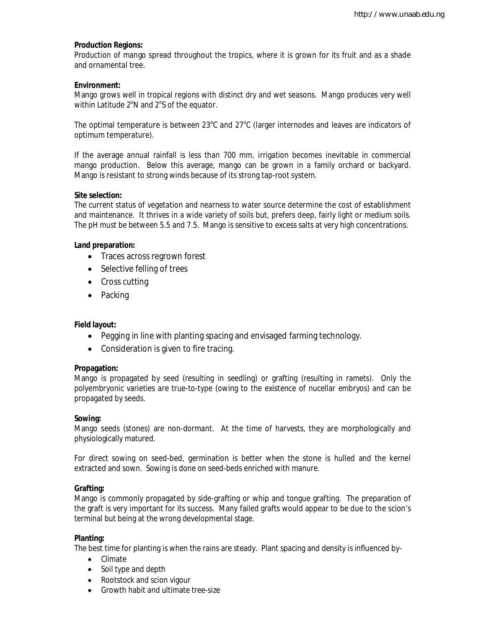## **Production Regions:**

Production of mango spread throughout the tropics, where it is grown for its fruit and as a shade and ornamental tree.

## **Environment:**

Mango grows well in tropical regions with distinct dry and wet seasons. Mango produces very well within Latitude  $2^{\circ}$ N and  $2^{\circ}$ S of the equator.

The optimal temperature is between 23 $^{\circ}$ C and 27 $^{\circ}$ C (larger internodes and leaves are indicators of optimum temperature).

If the average annual rainfall is less than 700 mm, irrigation becomes inevitable in commercial mango production. Below this average, mango can be grown in a family orchard or backyard. Mango is resistant to strong winds because of its strong tap-root system.

## **Site selection:**

The current status of vegetation and nearness to water source determine the cost of establishment and maintenance. It thrives in a wide variety of soils but, prefers deep, fairly light or medium soils. The pH must be between 5.5 and 7.5. Mango is sensitive to excess salts at very high concentrations.

## **Land preparation:**

- Traces across regrown forest
- Selective felling of trees
- Cross cutting
- Packing

## **Field layout:**

- Pegging in line with planting spacing and envisaged farming technology.
- Consideration is given to fire tracing.

#### **Propagation:**

Mango is propagated by seed (resulting in seedling) or grafting (resulting in ramets). Only the polyembryonic varieties are true-to-type (owing to the existence of nucellar embryos) and can be propagated by seeds.

#### **Sowing:**

Mango seeds (stones) are non-dormant. At the time of harvests, they are morphologically and physiologically matured.

For direct sowing on seed-bed, germination is better when the stone is hulled and the kernel extracted and sown. Sowing is done on seed-beds enriched with manure.

#### **Grafting:**

Mango is commonly propagated by side-grafting or whip and tongue grafting. The preparation of the graft is very important for its success. Many failed grafts would appear to be due to the scion's terminal but being at the wrong developmental stage.

#### **Planting:**

The best time for planting is when the rains are steady. Plant spacing and density is influenced by-

- Climate
- Soil type and depth
- Rootstock and scion vigour
- Growth habit and ultimate tree-size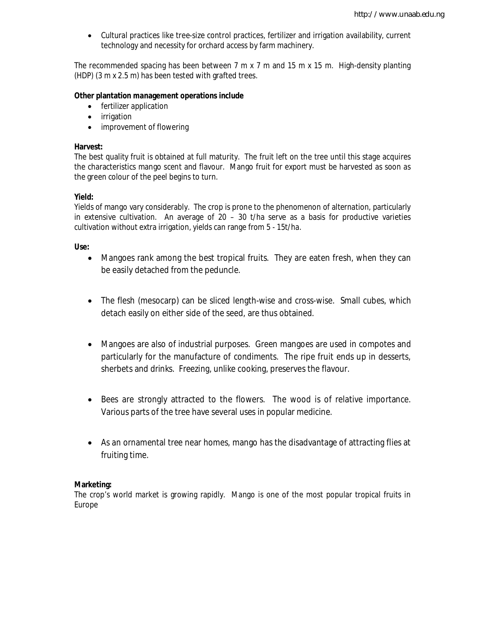Cultural practices like tree-size control practices, fertilizer and irrigation availability, current technology and necessity for orchard access by farm machinery.

The recommended spacing has been between 7 m x 7 m and 15 m x 15 m. High-density planting (HDP) (3 m x 2.5 m) has been tested with grafted trees.

#### **Other plantation management operations include**

- fertilizer application
- irrigation
- improvement of flowering

#### **Harvest:**

The best quality fruit is obtained at full maturity. The fruit left on the tree until this stage acquires the characteristics mango scent and flavour. Mango fruit for export must be harvested as soon as the green colour of the peel begins to turn.

#### **Yield:**

Yields of mango vary considerably. The crop is prone to the phenomenon of alternation, particularly in extensive cultivation. An average of  $20 - 30$  t/ha serve as a basis for productive varieties cultivation without extra irrigation, yields can range from 5 - 15t/ha.

#### **Use:**

- Mangoes rank among the best tropical fruits. They are eaten fresh, when they can be easily detached from the peduncle.
- The flesh (mesocarp) can be sliced length-wise and cross-wise. Small cubes, which detach easily on either side of the seed, are thus obtained.
- Mangoes are also of industrial purposes. Green mangoes are used in compotes and particularly for the manufacture of condiments. The ripe fruit ends up in desserts, sherbets and drinks. Freezing, unlike cooking, preserves the flavour.
- Bees are strongly attracted to the flowers. The wood is of relative importance. Various parts of the tree have several uses in popular medicine.
- As an ornamental tree near homes, mango has the disadvantage of attracting flies at fruiting time.

#### **Marketing:**

The crop's world market is growing rapidly. Mango is one of the most popular tropical fruits in Europe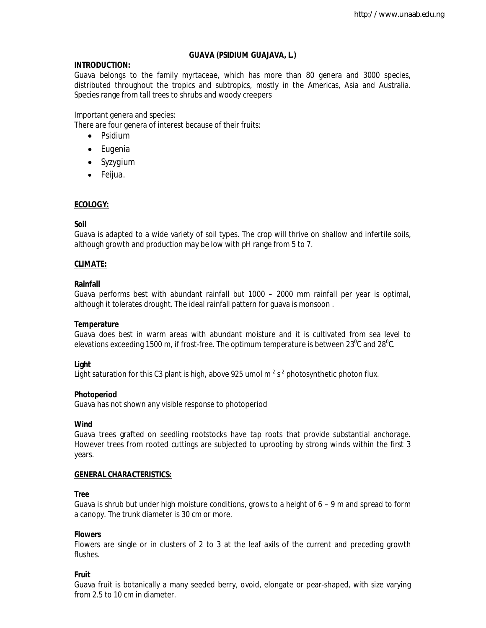## **GUAVA (***PSIDIUM GUAJAVA***, L.)**

## **INTRODUCTION:**

Guava belongs to the family *myrtaceae*, which has more than 80 genera and 3000 species, distributed throughout the tropics and subtropics, mostly in the Americas, Asia and Australia. Species range from tall trees to shrubs and woody creepers

Important genera and species:

There are four genera of interest because of their fruits:

- *Psidium*
- *Eugenia*
- *Syzygium*
- *Feijua*.

## **ECOLOGY:**

## **Soil**

Guava is adapted to a wide variety of soil types. The crop will thrive on shallow and infertile soils, although growth and production may be low with pH range from 5 to 7.

## **CLIMATE:**

## **Rainfall**

Guava performs best with abundant rainfall but 1000 – 2000 mm rainfall per year is optimal, although it tolerates drought. The ideal rainfall pattern for guava is monsoon .

## **Temperature**

Guava does best in warm areas with abundant moisture and it is cultivated from sea level to elevations exceeding 1500 m, if frost-free. The optimum temperature is between 23 $^0$ C and 28 $^0$ C.

## **Light**

Light saturation for this C3 plant is high, above 925 umol m $^{\text{2}}$  s $^{\text{2}}$  photosynthetic photon flux.

## **Photoperiod**

Guava has not shown any visible response to photoperiod

## **Wind**

Guava trees grafted on seedling rootstocks have tap roots that provide substantial anchorage. However trees from rooted cuttings are subjected to uprooting by strong winds within the first 3 years.

## **GENERAL CHARACTERISTICS:**

## **Tree**

Guava is shrub but under high moisture conditions, grows to a height of  $6 - 9$  m and spread to form a canopy. The trunk diameter is 30 cm or more.

## **Flowers**

Flowers are single or in clusters of 2 to 3 at the leaf axils of the current and preceding growth flushes.

## **Fruit**

Guava fruit is botanically a many seeded berry, ovoid, elongate or pear-shaped, with size varying from 2.5 to 10 cm in diameter.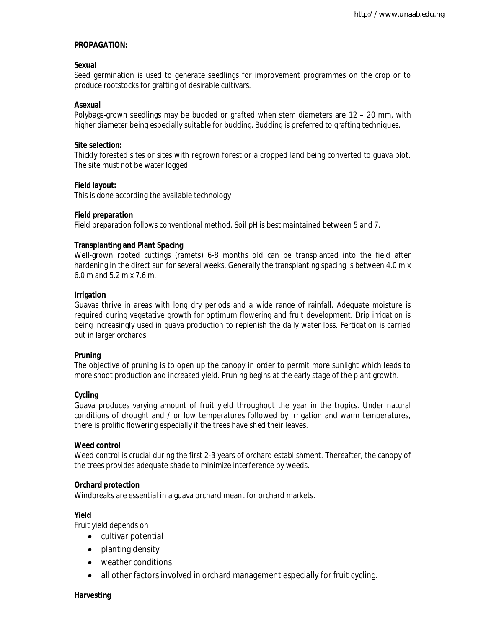## **PROPAGATION:**

#### **Sexual**

Seed germination is used to generate seedlings for improvement programmes on the crop or to produce rootstocks for grafting of desirable cultivars.

## **Asexual**

Polybags-grown seedlings may be budded or grafted when stem diameters are 12 – 20 mm, with higher diameter being especially suitable for budding. Budding is preferred to grafting techniques.

#### **Site selection:**

Thickly forested sites or sites with regrown forest or a cropped land being converted to guava plot. The site must not be water logged.

## **Field layout:**

This is done according the available technology

## **Field preparation**

Field preparation follows conventional method. Soil pH is best maintained between 5 and 7.

## **Transplanting and Plant Spacing**

Well-grown rooted cuttings (ramets) 6-8 months old can be transplanted into the field after hardening in the direct sun for several weeks. Generally the transplanting spacing is between 4.0 m x 6.0 m and 5.2 m x 7.6 m.

## **Irrigation**

Guavas thrive in areas with long dry periods and a wide range of rainfall. Adequate moisture is required during vegetative growth for optimum flowering and fruit development. Drip irrigation is being increasingly used in guava production to replenish the daily water loss. Fertigation is carried out in larger orchards.

#### **Pruning**

The objective of pruning is to open up the canopy in order to permit more sunlight which leads to more shoot production and increased yield. Pruning begins at the early stage of the plant growth.

## **Cycling**

Guava produces varying amount of fruit yield throughout the year in the tropics. Under natural conditions of drought and / or low temperatures followed by irrigation and warm temperatures, there is prolific flowering especially if the trees have shed their leaves.

#### **Weed control**

Weed control is crucial during the first 2-3 years of orchard establishment. Thereafter, the canopy of the trees provides adequate shade to minimize interference by weeds.

#### **Orchard protection**

Windbreaks are essential in a guava orchard meant for orchard markets.

#### **Yield**

Fruit yield depends on

- cultivar potential
- planting density
- weather conditions
- all other factors involved in orchard management especially for fruit cycling.

#### **Harvesting**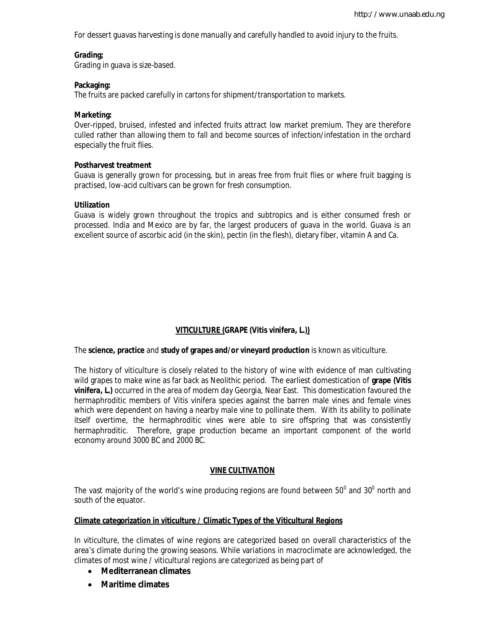For dessert guavas harvesting is done manually and carefully handled to avoid injury to the fruits.

#### **Grading;**

Grading in guava is size-based.

## **Packaging:**

The fruits are packed carefully in cartons for shipment/transportation to markets.

## **Marketing:**

Over-ripped, bruised, infested and infected fruits attract low market premium. They are therefore culled rather than allowing them to fall and become sources of infection/infestation in the orchard especially the fruit flies.

## **Postharvest treatment**

Guava is generally grown for processing, but in areas free from fruit flies or where fruit bagging is practised, low-acid cultivars can be grown for fresh consumption.

## **Utilization**

Guava is widely grown throughout the tropics and subtropics and is either consumed fresh or processed. India and Mexico are by far, the largest producers of guava in the world. Guava is an excellent source of ascorbic acid (in the skin), pectin (in the flesh), dietary fiber, vitamin A and Ca.

## **VITICULTURE (GRAPE (***Vitis vinifera***, L.))**

The **science, practice** and **study of grapes and/or vineyard production** is known as viticulture.

The history of viticulture is closely related to the history of wine with evidence of man cultivating wild grapes to make wine as far back as Neolithic period. The earliest domestication of **grape (***Vitis vinifera***, L.)** occurred in the area of modern day Georgia, Near East. This domestication favoured the hermaphroditic members of *Vitis vinifera* species against the barren male vines and female vines which were dependent on having a nearby male vine to pollinate them. With its ability to pollinate itself overtime, the hermaphroditic vines were able to sire offspring that was consistently hermaphroditic. Therefore, grape production became an important component of the world economy around 3000 BC and 2000 BC.

## **VINE CULTIVATION**

The vast majority of the world's wine producing regions are found between  $50^{\circ}$  and  $30^{\circ}$  north and south of the equator.

## **Climate categorization in viticulture / Climatic Types of the Viticultural Regions**

In viticulture, the climates of wine regions are categorized based on overall characteristics of the area's climate during the growing seasons. While variations in macroclimate are acknowledged, the climates of most wine / viticultural regions are categorized as being part of

- **Mediterranean climates**
- **Maritime climates**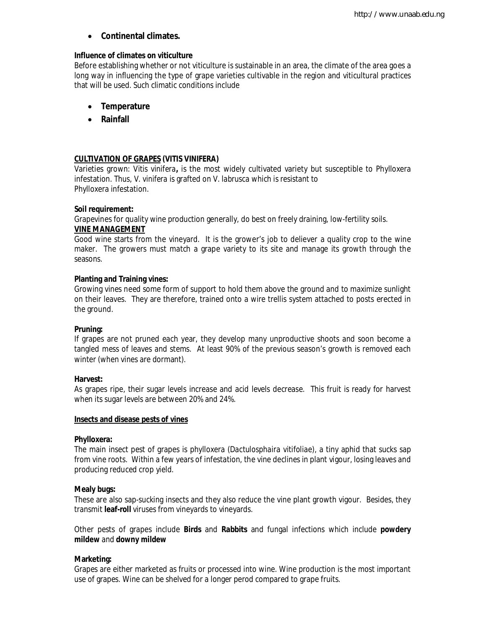## **Continental climates.**

#### **Influence of climates on viticulture**

Before establishing whether or not viticulture is sustainable in an area, the climate of the area goes a long way in influencing the type of grape varieties cultivable in the region and viticultural practices that will be used. Such climatic conditions include

- **Temperature**
- **Rainfall**

## **CULTIVATION OF GRAPES (***VITIS VINIFERA***)**

Varieties grown: *Vitis vinifera***,** is the most widely cultivated variety but susceptible to Phylloxera infestation. Thus, *V. vinifera* is grafted on *V. labrusca* which is resistant to Phylloxera infestation.

## **Soil requirement:**

Grapevines for quality wine production generally, do best on freely draining, low-fertility soils. **VINE MANAGEMENT**

Good wine starts from the vineyard. It is the grower's job to deliever a quality crop to the wine maker. The growers must match a grape variety to its site and manage its growth through the seasons.

## **Planting and Training vines:**

Growing vines need some form of support to hold them above the ground and to maximize sunlight on their leaves. They are therefore, trained onto a wire trellis system attached to posts erected in the ground.

#### **Pruning:**

If grapes are not pruned each year, they develop many unproductive shoots and soon become a tangled mess of leaves and stems. At least 90% of the previous season's growth is removed each winter (when vines are dormant).

#### **Harvest:**

As grapes ripe, their sugar levels increase and acid levels decrease. This fruit is ready for harvest when its sugar levels are between 20% and 24%.

#### **Insects and disease pests of vines**

#### **Phylloxera:**

The main insect pest of grapes is phylloxera (*Dactulosphaira vitifoliae*), a tiny aphid that sucks sap from vine roots. Within a few years of infestation, the vine declines in plant vigour, losing leaves and producing reduced crop yield.

#### **Mealy bugs:**

These are also sap-sucking insects and they also reduce the vine plant growth vigour. Besides, they transmit **leaf-roll** viruses from vineyards to vineyards.

Other pests of grapes include **Birds** and **Rabbits** and fungal infections which include **powdery mildew** and **downy mildew**

#### **Marketing:**

Grapes are either marketed as fruits or processed into wine. Wine production is the most important use of grapes. Wine can be shelved for a longer perod compared to grape fruits.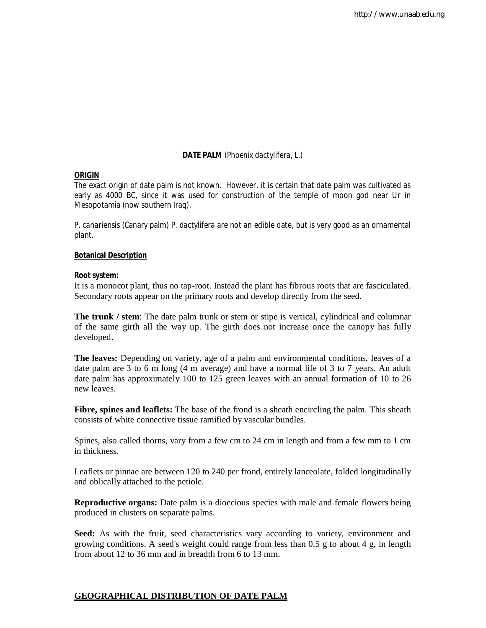## **DATE PALM** (*Phoenix dactylifera*, L.)

#### **ORIGIN**

The exact origin of date palm is not known. However, it is certain that date palm was cultivated as early as 4000 BC, since it was used for construction of the temple of moon god near Ur in Mesopotamia (now southern Iraq).

*P. canariensis* (Canary palm) *P. dactylifera* are not an edible date, but is very good as an ornamental plant.

#### **Botanical Description**

#### **Root system:**

It is a monocot plant, thus no tap-root. Instead the plant has fibrous roots that are fasciculated. Secondary roots appear on the primary roots and develop directly from the seed.

**The trunk / stem**: The date palm trunk or stem or stipe is vertical, cylindrical and columnar of the same girth all the way up. The girth does not increase once the canopy has fully developed.

**The leaves:** Depending on variety, age of a palm and environmental conditions, leaves of a date palm are 3 to 6 m long (4 m average) and have a normal life of 3 to 7 years. An adult date palm has approximately 100 to 125 green leaves with an annual formation of 10 to 26 new leaves.

**Fibre, spines and leaflets:** The base of the frond is a sheath encircling the palm. This sheath consists of white connective tissue ramified by vascular bundles.

Spines, also called thorns, vary from a few cm to 24 cm in length and from a few mm to 1 cm in thickness.

Leaflets or pinnae are between 120 to 240 per frond, entirely lanceolate, folded longitudinally and oblically attached to the petiole.

**Reproductive organs:** Date palm is a dioecious species with male and female flowers being produced in clusters on separate palms.

**Seed:** As with the fruit, seed characteristics vary according to variety, environment and growing conditions. A seed's weight could range from less than  $0.5$  g to about 4 g, in length from about 12 to 36 mm and in breadth from 6 to 13 mm.

## **GEOGRAPHICAL DISTRIBUTION OF DATE PALM**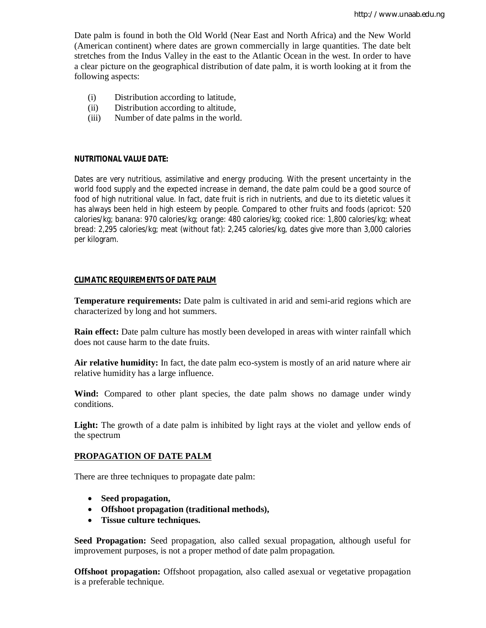Date palm is found in both the Old World (Near East and North Africa) and the New World (American continent) where dates are grown commercially in large quantities. The date belt stretches from the Indus Valley in the east to the Atlantic Ocean in the west. In order to have a clear picture on the geographical distribution of date palm, it is worth looking at it from the following aspects:

- (i) Distribution according to latitude,
- (ii) Distribution according to altitude,
- (iii) Number of date palms in the world.

#### **NUTRITIONAL VALUE DATE:**

Dates are very nutritious, assimilative and energy producing. With the present uncertainty in the world food supply and the expected increase in demand, the date palm could be a good source of food of high nutritional value. In fact, date fruit is rich in nutrients, and due to its dietetic values it has always been held in high esteem by people. Compared to other fruits and foods (apricot: 520 calories/kg; banana: 970 calories/kg; orange: 480 calories/kg; cooked rice: 1,800 calories/kg; wheat bread: 2,295 calories/kg; meat (without fat): 2,245 calories/kg, dates give more than 3,000 calories per kilogram.

#### **CLIMATIC REQUIREMENTS OF DATE PALM**

**Temperature requirements:** Date palm is cultivated in arid and semi-arid regions which are characterized by long and hot summers.

**Rain effect:** Date palm culture has mostly been developed in areas with winter rainfall which does not cause harm to the date fruits.

**Air relative humidity:** In fact, the date palm eco-system is mostly of an arid nature where air relative humidity has a large influence.

**Wind:** Compared to other plant species, the date palm shows no damage under windy conditions.

Light: The growth of a date palm is inhibited by light rays at the violet and yellow ends of the spectrum

#### **PROPAGATION OF DATE PALM**

There are three techniques to propagate date palm:

- **Seed propagation,**
- **Offshoot propagation (traditional methods),**
- **Tissue culture techniques.**

**Seed Propagation:** Seed propagation, also called sexual propagation, although useful for improvement purposes, is not a proper method of date palm propagation.

**Offshoot propagation:** Offshoot propagation, also called asexual or vegetative propagation is a preferable technique.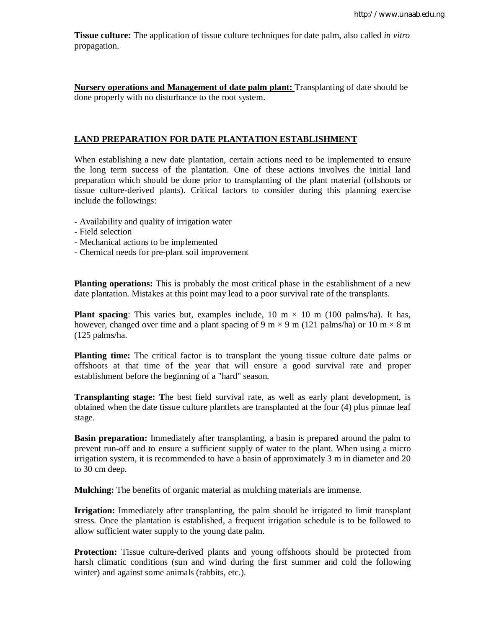**Tissue culture:** The application of tissue culture techniques for date palm, also called *in vitro* propagation.

**Nursery operations and Management of date palm plant:** Transplanting of date should be done properly with no disturbance to the root system.

## **LAND PREPARATION FOR DATE PLANTATION ESTABLISHMENT**

When establishing a new date plantation, certain actions need to be implemented to ensure the long term success of the plantation. One of these actions involves the initial land preparation which should be done prior to transplanting of the plant material (offshoots or tissue culture-derived plants). Critical factors to consider during this planning exercise include the followings:

- Availability and quality of irrigation water
- Field selection
- Mechanical actions to be implemented
- Chemical needs for pre-plant soil improvement

**Planting operations:** This is probably the most critical phase in the establishment of a new date plantation. Mistakes at this point may lead to a poor survival rate of the transplants.

**Plant spacing**: This varies but, examples include,  $10 \text{ m} \times 10 \text{ m}$  (100 palms/ha). It has, however, changed over time and a plant spacing of 9 m  $\times$  9 m (121 palms/ha) or 10 m  $\times$  8 m (125 palms/ha.

**Planting time:** The critical factor is to transplant the young tissue culture date palms or offshoots at that time of the year that will ensure a good survival rate and proper establishment before the beginning of a "hard" season.

**Transplanting stage: T**he best field survival rate, as well as early plant development, is obtained when the date tissue culture plantlets are transplanted at the four (4) plus pinnae leaf stage.

**Basin preparation:** Immediately after transplanting, a basin is prepared around the palm to prevent run-off and to ensure a sufficient supply of water to the plant. When using a micro irrigation system, it is recommended to have a basin of approximately 3 m in diameter and 20 to 30 cm deep.

**Mulching:** The benefits of organic material as mulching materials are immense.

**Irrigation:** Immediately after transplanting, the palm should be irrigated to limit transplant stress. Once the plantation is established, a frequent irrigation schedule is to be followed to allow sufficient water supply to the young date palm.

**Protection:** Tissue culture-derived plants and young offshoots should be protected from harsh climatic conditions (sun and wind during the first summer and cold the following winter) and against some animals (rabbits, etc.).